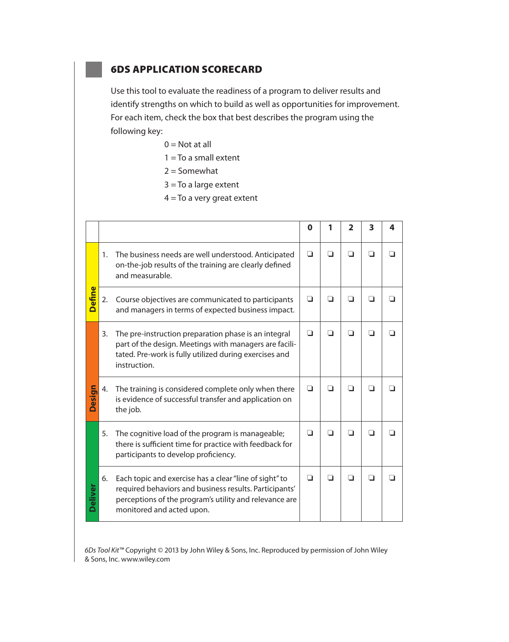## **6DS APPLICATION SCORECARD**

Use this tool to evaluate the readiness of a program to deliver results and identify strengths on which to build as well as opportunities for improvement. For each item, check the box that best describes the program using the following key:

- $0 = Not$  at all
- $1 = To a small extent$
- $2 =$  Somewhat
- $3 = To a large extent$
- $4 = To a very great extent$

|                |    |                                                                                                                                                                                                         | Ω   |        | $\mathbf 2$ | 3      | 4   |
|----------------|----|---------------------------------------------------------------------------------------------------------------------------------------------------------------------------------------------------------|-----|--------|-------------|--------|-----|
| <b>Define</b>  | 1. | The business needs are well understood. Anticipated<br>on-the-job results of the training are clearly defined<br>and measurable.                                                                        | □   | $\Box$ | ◘           | $\Box$ | n   |
|                | 2. | Course objectives are communicated to participants<br>and managers in terms of expected business impact.                                                                                                | □   | П      | ∩           | n      |     |
|                | 3. | The pre-instruction preparation phase is an integral<br>part of the design. Meetings with managers are facili-<br>tated. Pre-work is fully utilized during exercises and<br>instruction.                | n   | □      | ∩           | ◻      | l 1 |
| <b>Design</b>  | 4. | The training is considered complete only when there<br>is evidence of successful transfer and application on<br>the job.                                                                                | □   | $\Box$ | □           | ◘      | l I |
| <b>Deliver</b> | 5. | The cognitive load of the program is manageable;<br>there is sufficient time for practice with feedback for<br>participants to develop proficiency.                                                     | l 1 | ◘      | n           | n      | l I |
|                | 6. | Each topic and exercise has a clear "line of sight" to<br>required behaviors and business results. Participants'<br>perceptions of the program's utility and relevance are<br>monitored and acted upon. | n   | ∩      | n           | n      |     |

6Ds Tool Kit™ Copyright © 2013 by John Wiley & Sons, Inc. Reproduced by permission of John Wiley & Sons, Inc. www.wiley.com